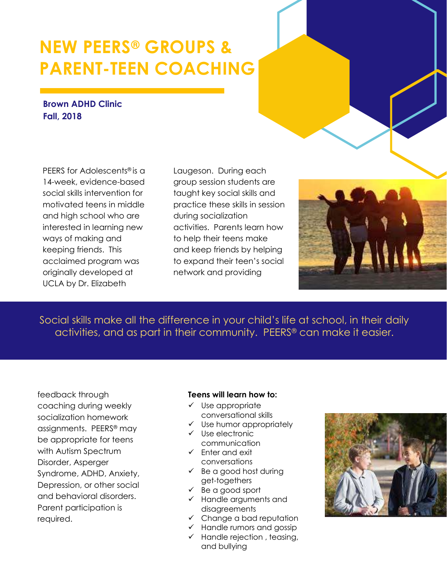# **NEW PEERS® GROUPS & PARENT-TEEN COACHING**

### **Brown ADHD Clinic Fall, 2018**

PEERS for Adolescents® is a 14-week, evidence-based social skills intervention for motivated teens in middle and high school who are interested in learning new ways of making and keeping friends. This acclaimed program was originally developed at UCLA by Dr. Elizabeth

Laugeson. During each group session students are taught key social skills and practice these skills in session during socialization activities. Parents learn how to help their teens make and keep friends by helping to expand their teen's social network and providing

Social skills make all the difference in your child's life at school, in their daily activities, and as part in their community. PEERS® can make it easier.

feedback through coaching during weekly socialization homework assignments. PEERS® may be appropriate for teens with Autism Spectrum Disorder, Asperger Syndrome, ADHD, Anxiety, Depression, or other social and behavioral disorders. Parent participation is required.

#### **Teens will learn how to:**

- $\checkmark$  Use appropriate conversational skills
- $\checkmark$  Use humor appropriately
- ✓ Use electronic communication
- ✓ Enter and exit conversations
- $\checkmark$  Be a good host during get-togethers
- $\checkmark$  Be a good sport
- ✓ Handle arguments and disagreements
- $\checkmark$  Change a bad reputation
- $\checkmark$  Handle rumors and gossip
- $\checkmark$  Handle rejection, teasing, and bullying

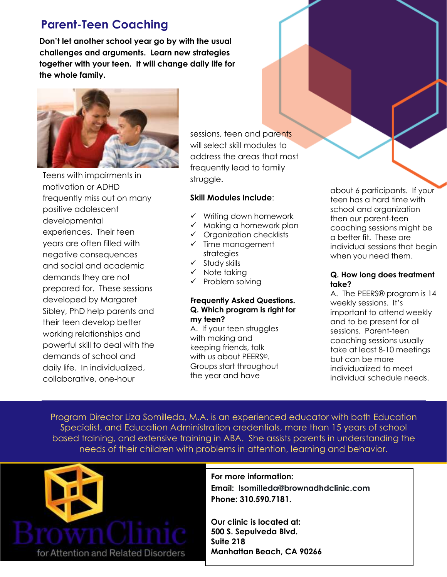# **Parent-Teen Coaching**

**Don't let another school year go by with the usual challenges and arguments. Learn new strategies together with your teen. It will change daily life for the whole family.**



Teens with impairments in motivation or ADHD frequently miss out on many positive adolescent developmental experiences. Their teen years are often filled with negative consequences and social and academic demands they are not prepared for. These sessions developed by Margaret Sibley, PhD help parents and their teen develop better working relationships and powerful skill to deal with the demands of school and daily life. In individualized, collaborative, one-hour

sessions, teen and parents will select skill modules to address the areas that most frequently lead to family struggle.

#### **Skill Modules Include**:

- ✓ Writing down homework
- $\checkmark$  Making a homework plan
- ✓ Organization checklists
- ✓ Time management strategies
- ✓ Study skills
- ✓ Note taking
- ✓ Problem solving

#### **Frequently Asked Questions. Q. Which program is right for my teen?**

A. If your teen struggles with making and keeping friends, talk with us about PEERS®. Groups start throughout the year and have

about 6 participants. If your teen has a hard time with school and organization then our parent-teen coaching sessions might be a better fit. These are individual sessions that begin when you need them.

#### **Q. How long does treatment take?**

A. The PEERS® program is 14 weekly sessions. It's important to attend weekly and to be present for all sessions. Parent-teen coaching sessions usually take at least 8-10 meetings but can be more individualized to meet individual schedule needs.

Program Director Liza Somilleda, M.A. is an experienced educator with both Education Specialist, and Education Administration credentials, more than 15 years of school based training, and extensive training in ABA. She assists parents in understanding the needs of their children with problems in attention, learning and behavior.



## **For more information:**

**Email: [lsomilleda@brownadhdclinic.com](mailto:lsomilleda@brownadhdclinic.com) Phone: 310.590.7181.** 

**Our clinic is located at: 500 S. Sepulveda Blvd. Suite 218 Manhattan Beach, CA 90266**